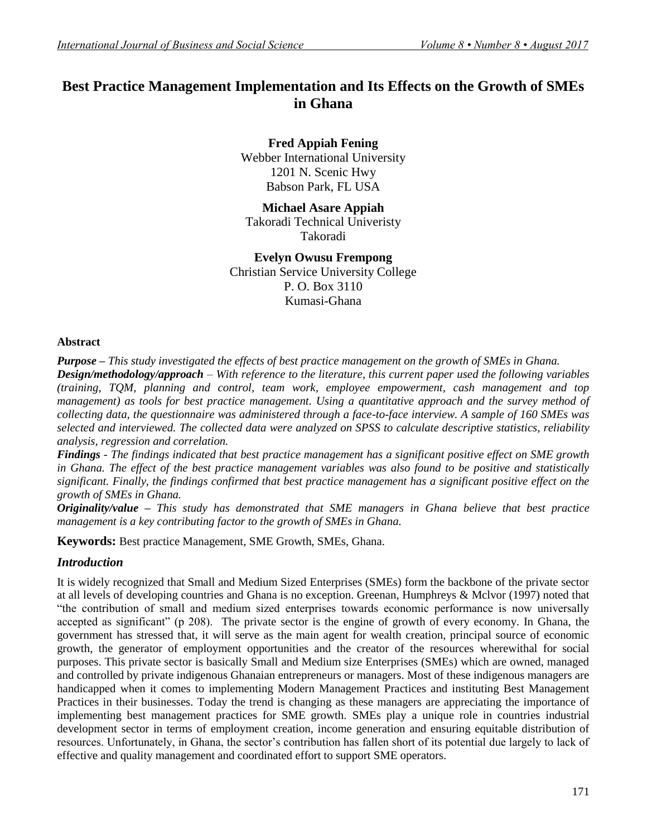# **Best Practice Management Implementation and Its Effects on the Growth of SMEs in Ghana**

**Fred Appiah Fening** Webber International University 1201 N. Scenic Hwy Babson Park, FL USA

# **Michael Asare Appiah**

Takoradi Technical Univeristy Takoradi

# **Evelyn Owusu Frempong**

Christian Service University College P. O. Box 3110 Kumasi-Ghana

### **Abstract**

*Purpose – This study investigated the effects of best practice management on the growth of SMEs in Ghana. Design/methodology/approach – With reference to the literature, this current paper used the following variables (training, TQM, planning and control, team work, employee empowerment, cash management and top management) as tools for best practice management. Using a quantitative approach and the survey method of collecting data, the questionnaire was administered through a face-to-face interview. A sample of 160 SMEs was selected and interviewed. The collected data were analyzed on SPSS to calculate descriptive statistics, reliability analysis, regression and correlation.*

*Findings - The findings indicated that best practice management has a significant positive effect on SME growth in Ghana. The effect of the best practice management variables was also found to be positive and statistically significant. Finally, the findings confirmed that best practice management has a significant positive effect on the growth of SMEs in Ghana.*

*Originality/value – This study has demonstrated that SME managers in Ghana believe that best practice management is a key contributing factor to the growth of SMEs in Ghana.*

**Keywords:** Best practice Management, SME Growth, SMEs, Ghana.

# *Introduction*

It is widely recognized that Small and Medium Sized Enterprises (SMEs) form the backbone of the private sector at all levels of developing countries and Ghana is no exception. Greenan, Humphreys & Mclvor (1997) noted that "the contribution of small and medium sized enterprises towards economic performance is now universally accepted as significant" (p 208). The private sector is the engine of growth of every economy. In Ghana, the government has stressed that, it will serve as the main agent for wealth creation, principal source of economic growth, the generator of employment opportunities and the creator of the resources wherewithal for social purposes. This private sector is basically Small and Medium size Enterprises (SMEs) which are owned, managed and controlled by private indigenous Ghanaian entrepreneurs or managers. Most of these indigenous managers are handicapped when it comes to implementing Modern Management Practices and instituting Best Management Practices in their businesses. Today the trend is changing as these managers are appreciating the importance of implementing best management practices for SME growth. SMEs play a unique role in countries industrial development sector in terms of employment creation, income generation and ensuring equitable distribution of resources. Unfortunately, in Ghana, the sector"s contribution has fallen short of its potential due largely to lack of effective and quality management and coordinated effort to support SME operators.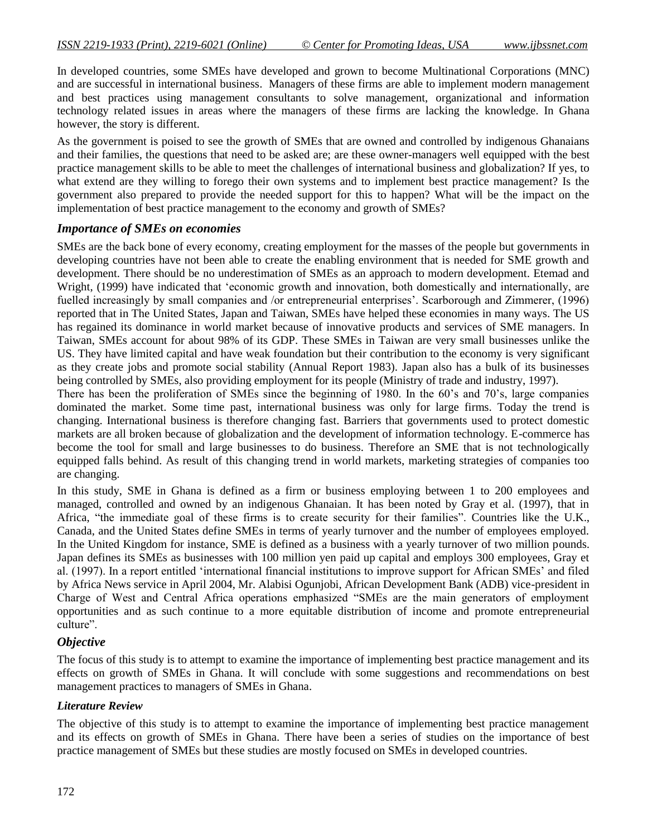In developed countries, some SMEs have developed and grown to become Multinational Corporations (MNC) and are successful in international business. Managers of these firms are able to implement modern management and best practices using management consultants to solve management, organizational and information technology related issues in areas where the managers of these firms are lacking the knowledge. In Ghana however, the story is different.

As the government is poised to see the growth of SMEs that are owned and controlled by indigenous Ghanaians and their families, the questions that need to be asked are; are these owner-managers well equipped with the best practice management skills to be able to meet the challenges of international business and globalization? If yes, to what extend are they willing to forego their own systems and to implement best practice management? Is the government also prepared to provide the needed support for this to happen? What will be the impact on the implementation of best practice management to the economy and growth of SMEs?

# *Importance of SMEs on economies*

SMEs are the back bone of every economy, creating employment for the masses of the people but governments in developing countries have not been able to create the enabling environment that is needed for SME growth and development. There should be no underestimation of SMEs as an approach to modern development. Etemad and Wright, (1999) have indicated that "economic growth and innovation, both domestically and internationally, are fuelled increasingly by small companies and /or entrepreneurial enterprises'. Scarborough and Zimmerer, (1996) reported that in The United States, Japan and Taiwan, SMEs have helped these economies in many ways. The US has regained its dominance in world market because of innovative products and services of SME managers. In Taiwan, SMEs account for about 98% of its GDP. These SMEs in Taiwan are very small businesses unlike the US. They have limited capital and have weak foundation but their contribution to the economy is very significant as they create jobs and promote social stability (Annual Report 1983). Japan also has a bulk of its businesses being controlled by SMEs, also providing employment for its people (Ministry of trade and industry, 1997).

There has been the proliferation of SMEs since the beginning of 1980. In the 60"s and 70"s, large companies dominated the market. Some time past, international business was only for large firms. Today the trend is changing. International business is therefore changing fast. Barriers that governments used to protect domestic markets are all broken because of globalization and the development of information technology. E-commerce has become the tool for small and large businesses to do business. Therefore an SME that is not technologically equipped falls behind. As result of this changing trend in world markets, marketing strategies of companies too are changing.

In this study, SME in Ghana is defined as a firm or business employing between 1 to 200 employees and managed, controlled and owned by an indigenous Ghanaian. It has been noted by Gray et al. (1997), that in Africa, "the immediate goal of these firms is to create security for their families". Countries like the U.K., Canada, and the United States define SMEs in terms of yearly turnover and the number of employees employed. In the United Kingdom for instance, SME is defined as a business with a yearly turnover of two million pounds. Japan defines its SMEs as businesses with 100 million yen paid up capital and employs 300 employees, Gray et al. (1997). In a report entitled "international financial institutions to improve support for African SMEs" and filed by Africa News service in April 2004, Mr. Alabisi Ogunjobi, African Development Bank (ADB) vice-president in Charge of West and Central Africa operations emphasized "SMEs are the main generators of employment opportunities and as such continue to a more equitable distribution of income and promote entrepreneurial culture".

# *Objective*

The focus of this study is to attempt to examine the importance of implementing best practice management and its effects on growth of SMEs in Ghana. It will conclude with some suggestions and recommendations on best management practices to managers of SMEs in Ghana.

# *Literature Review*

The objective of this study is to attempt to examine the importance of implementing best practice management and its effects on growth of SMEs in Ghana. There have been a series of studies on the importance of best practice management of SMEs but these studies are mostly focused on SMEs in developed countries.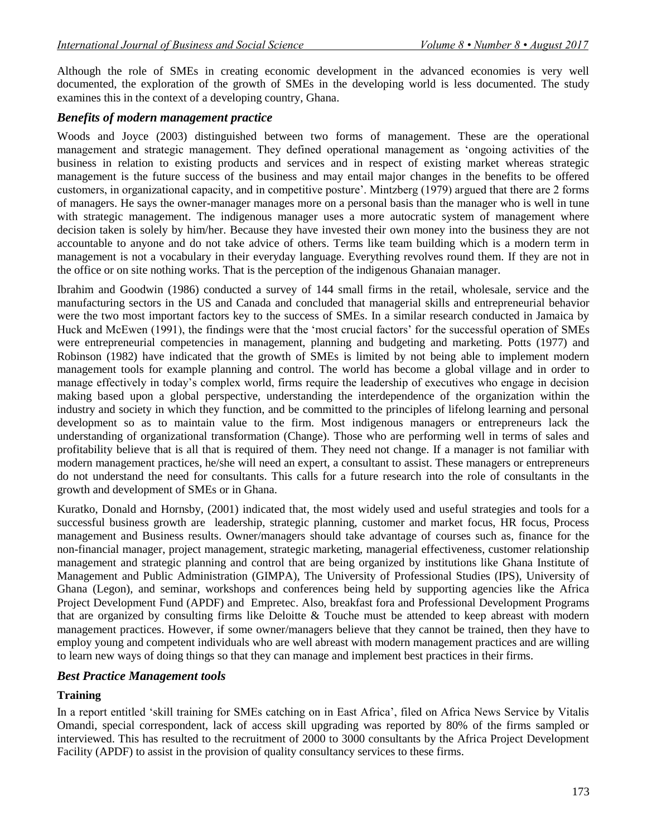Although the role of SMEs in creating economic development in the advanced economies is very well documented, the exploration of the growth of SMEs in the developing world is less documented. The study examines this in the context of a developing country, Ghana.

### *Benefits of modern management practice*

Woods and Joyce (2003) distinguished between two forms of management. These are the operational management and strategic management. They defined operational management as "ongoing activities of the business in relation to existing products and services and in respect of existing market whereas strategic management is the future success of the business and may entail major changes in the benefits to be offered customers, in organizational capacity, and in competitive posture". Mintzberg (1979) argued that there are 2 forms of managers. He says the owner-manager manages more on a personal basis than the manager who is well in tune with strategic management. The indigenous manager uses a more autocratic system of management where decision taken is solely by him/her. Because they have invested their own money into the business they are not accountable to anyone and do not take advice of others. Terms like team building which is a modern term in management is not a vocabulary in their everyday language. Everything revolves round them. If they are not in the office or on site nothing works. That is the perception of the indigenous Ghanaian manager.

Ibrahim and Goodwin (1986) conducted a survey of 144 small firms in the retail, wholesale, service and the manufacturing sectors in the US and Canada and concluded that managerial skills and entrepreneurial behavior were the two most important factors key to the success of SMEs. In a similar research conducted in Jamaica by Huck and McEwen (1991), the findings were that the "most crucial factors" for the successful operation of SMEs were entrepreneurial competencies in management, planning and budgeting and marketing. Potts (1977) and Robinson (1982) have indicated that the growth of SMEs is limited by not being able to implement modern management tools for example planning and control. The world has become a global village and in order to manage effectively in today"s complex world, firms require the leadership of executives who engage in decision making based upon a global perspective, understanding the interdependence of the organization within the industry and society in which they function, and be committed to the principles of lifelong learning and personal development so as to maintain value to the firm. Most indigenous managers or entrepreneurs lack the understanding of organizational transformation (Change). Those who are performing well in terms of sales and profitability believe that is all that is required of them. They need not change. If a manager is not familiar with modern management practices, he/she will need an expert, a consultant to assist. These managers or entrepreneurs do not understand the need for consultants. This calls for a future research into the role of consultants in the growth and development of SMEs or in Ghana.

Kuratko, Donald and Hornsby, (2001) indicated that, the most widely used and useful strategies and tools for a successful business growth are leadership, strategic planning, customer and market focus, HR focus, Process management and Business results. Owner/managers should take advantage of courses such as, finance for the non-financial manager, project management, strategic marketing, managerial effectiveness, customer relationship management and strategic planning and control that are being organized by institutions like Ghana Institute of Management and Public Administration (GIMPA), The University of Professional Studies (IPS), University of Ghana (Legon), and seminar, workshops and conferences being held by supporting agencies like the Africa Project Development Fund (APDF) and Empretec. Also, breakfast fora and Professional Development Programs that are organized by consulting firms like Deloitte & Touche must be attended to keep abreast with modern management practices. However, if some owner/managers believe that they cannot be trained, then they have to employ young and competent individuals who are well abreast with modern management practices and are willing to learn new ways of doing things so that they can manage and implement best practices in their firms.

# *Best Practice Management tools*

#### **Training**

In a report entitled "skill training for SMEs catching on in East Africa", filed on Africa News Service by Vitalis Omandi, special correspondent, lack of access skill upgrading was reported by 80% of the firms sampled or interviewed. This has resulted to the recruitment of 2000 to 3000 consultants by the Africa Project Development Facility (APDF) to assist in the provision of quality consultancy services to these firms.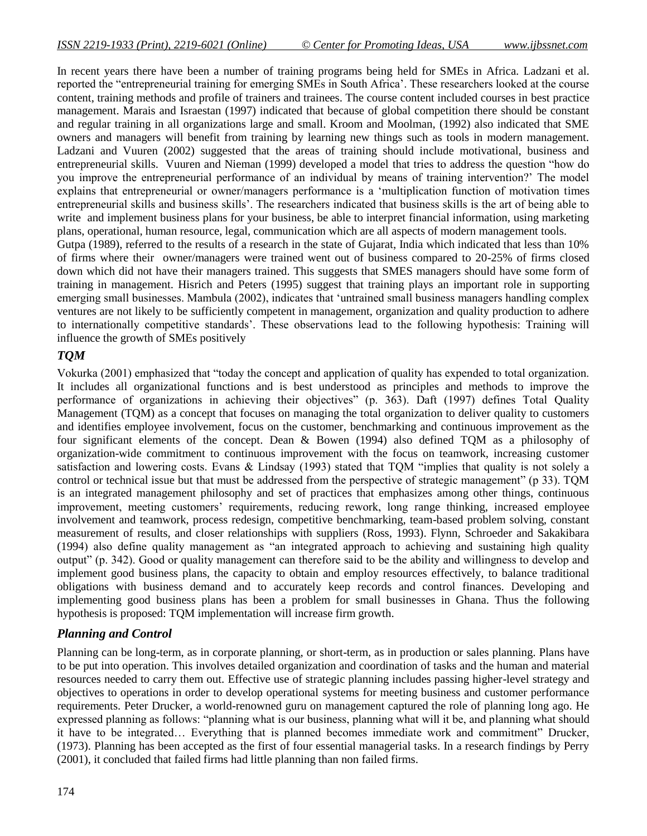In recent years there have been a number of training programs being held for SMEs in Africa. Ladzani et al. reported the "entrepreneurial training for emerging SMEs in South Africa". These researchers looked at the course content, training methods and profile of trainers and trainees. The course content included courses in best practice management. Marais and Israestan (1997) indicated that because of global competition there should be constant and regular training in all organizations large and small. Kroom and Moolman, (1992) also indicated that SME owners and managers will benefit from training by learning new things such as tools in modern management. Ladzani and Vuuren (2002) suggested that the areas of training should include motivational, business and entrepreneurial skills. Vuuren and Nieman (1999) developed a model that tries to address the question "how do you improve the entrepreneurial performance of an individual by means of training intervention?" The model explains that entrepreneurial or owner/managers performance is a "multiplication function of motivation times entrepreneurial skills and business skills". The researchers indicated that business skills is the art of being able to write and implement business plans for your business, be able to interpret financial information, using marketing plans, operational, human resource, legal, communication which are all aspects of modern management tools. Gutpa (1989), referred to the results of a research in the state of Gujarat, India which indicated that less than 10% of firms where their owner/managers were trained went out of business compared to 20-25% of firms closed down which did not have their managers trained. This suggests that SMES managers should have some form of training in management. Hisrich and Peters (1995) suggest that training plays an important role in supporting emerging small businesses. Mambula (2002), indicates that "untrained small business managers handling complex ventures are not likely to be sufficiently competent in management, organization and quality production to adhere

to internationally competitive standards". These observations lead to the following hypothesis: Training will

# *TQM*

influence the growth of SMEs positively

Vokurka (2001) emphasized that "today the concept and application of quality has expended to total organization. It includes all organizational functions and is best understood as principles and methods to improve the performance of organizations in achieving their objectives" (p. 363). Daft (1997) defines Total Quality Management (TQM) as a concept that focuses on managing the total organization to deliver quality to customers and identifies employee involvement, focus on the customer, benchmarking and continuous improvement as the four significant elements of the concept. Dean & Bowen (1994) also defined TQM as a philosophy of organization-wide commitment to continuous improvement with the focus on teamwork, increasing customer satisfaction and lowering costs. Evans & Lindsay (1993) stated that TQM "implies that quality is not solely a control or technical issue but that must be addressed from the perspective of strategic management" (p 33). TQM is an integrated management philosophy and set of practices that emphasizes among other things, continuous improvement, meeting customers" requirements, reducing rework, long range thinking, increased employee involvement and teamwork, process redesign, competitive benchmarking, team-based problem solving, constant measurement of results, and closer relationships with suppliers (Ross, 1993). Flynn, Schroeder and Sakakibara (1994) also define quality management as "an integrated approach to achieving and sustaining high quality output" (p. 342). Good or quality management can therefore said to be the ability and willingness to develop and implement good business plans, the capacity to obtain and employ resources effectively, to balance traditional obligations with business demand and to accurately keep records and control finances. Developing and implementing good business plans has been a problem for small businesses in Ghana. Thus the following hypothesis is proposed: TQM implementation will increase firm growth.

# *Planning and Control*

Planning can be long-term, as in corporate planning, or short-term, as in production or sales planning. Plans have to be put into operation. This involves detailed organization and coordination of tasks and the human and material resources needed to carry them out. Effective use of strategic planning includes passing higher-level strategy and objectives to operations in order to develop operational systems for meeting business and customer performance requirements. Peter Drucker, a world-renowned guru on management captured the role of planning long ago. He expressed planning as follows: "planning what is our business, planning what will it be, and planning what should it have to be integrated… Everything that is planned becomes immediate work and commitment" Drucker, (1973). Planning has been accepted as the first of four essential managerial tasks. In a research findings by Perry (2001), it concluded that failed firms had little planning than non failed firms.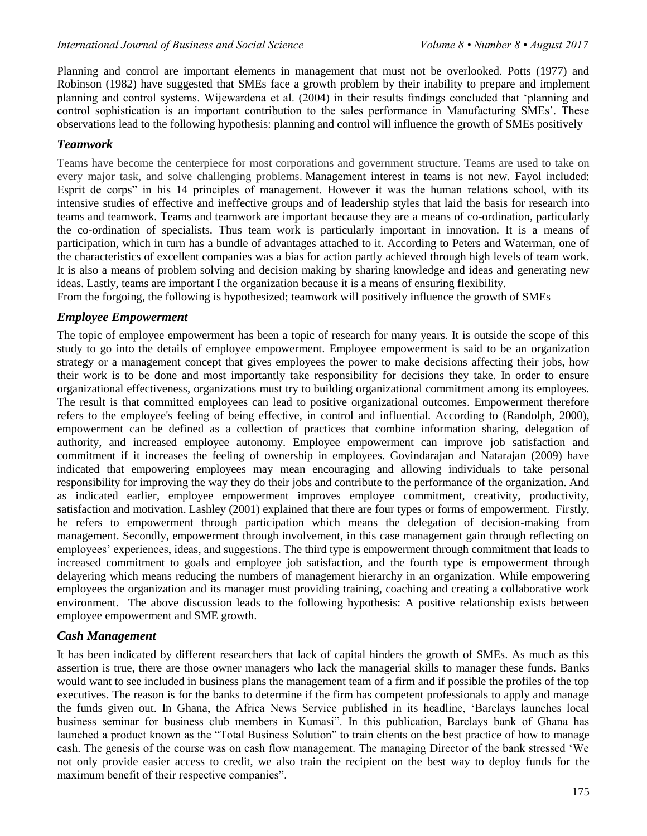Planning and control are important elements in management that must not be overlooked. Potts (1977) and Robinson (1982) have suggested that SMEs face a growth problem by their inability to prepare and implement planning and control systems. Wijewardena et al. (2004) in their results findings concluded that "planning and control sophistication is an important contribution to the sales performance in Manufacturing SMEs'. These observations lead to the following hypothesis: planning and control will influence the growth of SMEs positively

# *Teamwork*

Teams have become the centerpiece for most corporations and government structure. Teams are used to take on every major task, and solve challenging problems. Management interest in teams is not new. Fayol included: Esprit de corps" in his 14 principles of management. However it was the human relations school, with its intensive studies of effective and ineffective groups and of leadership styles that laid the basis for research into teams and teamwork. Teams and teamwork are important because they are a means of co-ordination, particularly the co-ordination of specialists. Thus team work is particularly important in innovation. It is a means of participation, which in turn has a bundle of advantages attached to it. According to Peters and Waterman, one of the characteristics of excellent companies was a bias for action partly achieved through high levels of team work. It is also a means of problem solving and decision making by sharing knowledge and ideas and generating new ideas. Lastly, teams are important I the organization because it is a means of ensuring flexibility.

From the forgoing, the following is hypothesized; teamwork will positively influence the growth of SMEs

# *Employee Empowerment*

The topic of employee empowerment has been a topic of research for many years. It is outside the scope of this study to go into the details of employee empowerment. Employee empowerment is said to be an organization strategy or a management concept that gives employees the power to make decisions affecting their jobs, how their work is to be done and most importantly take responsibility for decisions they take. In order to ensure organizational effectiveness, organizations must try to building organizational commitment among its employees. The result is that committed employees can lead to positive organizational outcomes. Empowerment therefore refers to the employee's feeling of being effective, in control and influential. According to (Randolph, 2000), empowerment can be defined as a collection of practices that combine information sharing, delegation of authority, and increased employee autonomy. Employee empowerment can improve job satisfaction and commitment if it increases the feeling of ownership in employees. Govindarajan and Natarajan (2009) have indicated that empowering employees may mean encouraging and allowing individuals to take personal responsibility for improving the way they do their jobs and contribute to the performance of the organization. And as indicated earlier, employee empowerment improves employee commitment, creativity, productivity, satisfaction and motivation. Lashley (2001) explained that there are four types or forms of empowerment. Firstly, he refers to empowerment through participation which means the delegation of decision-making from management. Secondly, empowerment through involvement, in this case management gain through reflecting on employees' experiences, ideas, and suggestions. The third type is empowerment through commitment that leads to increased commitment to goals and employee job satisfaction, and the fourth type is empowerment through delayering which means reducing the numbers of management hierarchy in an organization. While empowering employees the organization and its manager must providing training, coaching and creating a collaborative work environment. The above discussion leads to the following hypothesis: A positive relationship exists between employee empowerment and SME growth.

# *Cash Management*

It has been indicated by different researchers that lack of capital hinders the growth of SMEs. As much as this assertion is true, there are those owner managers who lack the managerial skills to manager these funds. Banks would want to see included in business plans the management team of a firm and if possible the profiles of the top executives. The reason is for the banks to determine if the firm has competent professionals to apply and manage the funds given out. In Ghana, the Africa News Service published in its headline, "Barclays launches local business seminar for business club members in Kumasi". In this publication, Barclays bank of Ghana has launched a product known as the "Total Business Solution" to train clients on the best practice of how to manage cash. The genesis of the course was on cash flow management. The managing Director of the bank stressed "We not only provide easier access to credit, we also train the recipient on the best way to deploy funds for the maximum benefit of their respective companies".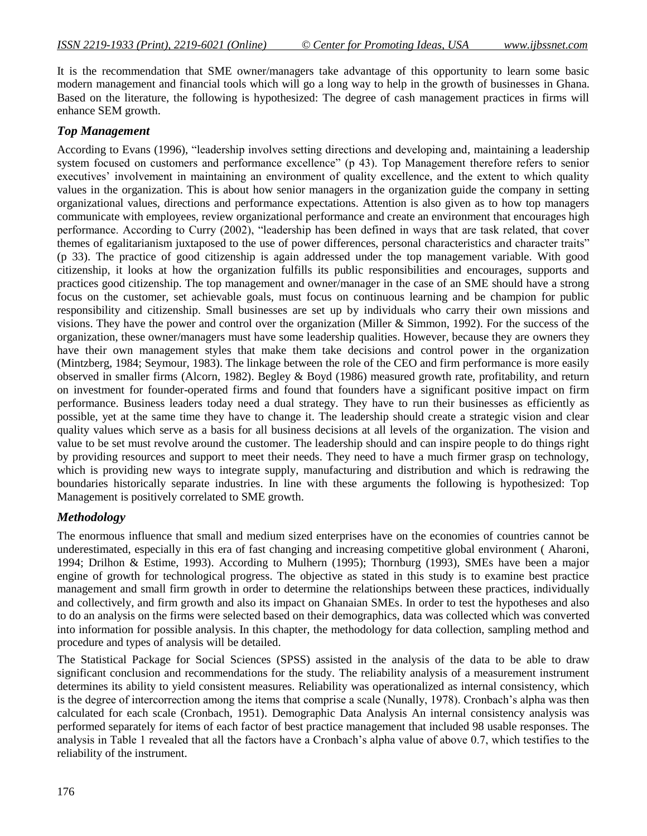It is the recommendation that SME owner/managers take advantage of this opportunity to learn some basic modern management and financial tools which will go a long way to help in the growth of businesses in Ghana. Based on the literature, the following is hypothesized: The degree of cash management practices in firms will enhance SEM growth.

# *Top Management*

According to Evans (1996), "leadership involves setting directions and developing and, maintaining a leadership system focused on customers and performance excellence" (p 43). Top Management therefore refers to senior executives" involvement in maintaining an environment of quality excellence, and the extent to which quality values in the organization. This is about how senior managers in the organization guide the company in setting organizational values, directions and performance expectations. Attention is also given as to how top managers communicate with employees, review organizational performance and create an environment that encourages high performance. According to Curry (2002), "leadership has been defined in ways that are task related, that cover themes of egalitarianism juxtaposed to the use of power differences, personal characteristics and character traits" (p 33). The practice of good citizenship is again addressed under the top management variable. With good citizenship, it looks at how the organization fulfills its public responsibilities and encourages, supports and practices good citizenship. The top management and owner/manager in the case of an SME should have a strong focus on the customer, set achievable goals, must focus on continuous learning and be champion for public responsibility and citizenship. Small businesses are set up by individuals who carry their own missions and visions. They have the power and control over the organization (Miller & Simmon, 1992). For the success of the organization, these owner/managers must have some leadership qualities. However, because they are owners they have their own management styles that make them take decisions and control power in the organization (Mintzberg, 1984; Seymour, 1983). The linkage between the role of the CEO and firm performance is more easily observed in smaller firms (Alcorn, 1982). Begley & Boyd (1986) measured growth rate, profitability, and return on investment for founder-operated firms and found that founders have a significant positive impact on firm performance. Business leaders today need a dual strategy. They have to run their businesses as efficiently as possible, yet at the same time they have to change it. The leadership should create a strategic vision and clear quality values which serve as a basis for all business decisions at all levels of the organization. The vision and value to be set must revolve around the customer. The leadership should and can inspire people to do things right by providing resources and support to meet their needs. They need to have a much firmer grasp on technology, which is providing new ways to integrate supply, manufacturing and distribution and which is redrawing the boundaries historically separate industries. In line with these arguments the following is hypothesized: Top Management is positively correlated to SME growth.

# *Methodology*

The enormous influence that small and medium sized enterprises have on the economies of countries cannot be underestimated, especially in this era of fast changing and increasing competitive global environment ( Aharoni, 1994; Drilhon & Estime, 1993). According to Mulhern (1995); Thornburg (1993), SMEs have been a major engine of growth for technological progress. The objective as stated in this study is to examine best practice management and small firm growth in order to determine the relationships between these practices, individually and collectively, and firm growth and also its impact on Ghanaian SMEs. In order to test the hypotheses and also to do an analysis on the firms were selected based on their demographics, data was collected which was converted into information for possible analysis. In this chapter, the methodology for data collection, sampling method and procedure and types of analysis will be detailed.

The Statistical Package for Social Sciences (SPSS) assisted in the analysis of the data to be able to draw significant conclusion and recommendations for the study. The reliability analysis of a measurement instrument determines its ability to yield consistent measures. Reliability was operationalized as internal consistency, which is the degree of intercorrection among the items that comprise a scale (Nunally, 1978). Cronbach's alpha was then calculated for each scale (Cronbach, 1951). Demographic Data Analysis An internal consistency analysis was performed separately for items of each factor of best practice management that included 98 usable responses. The analysis in Table 1 revealed that all the factors have a Cronbach"s alpha value of above 0.7, which testifies to the reliability of the instrument.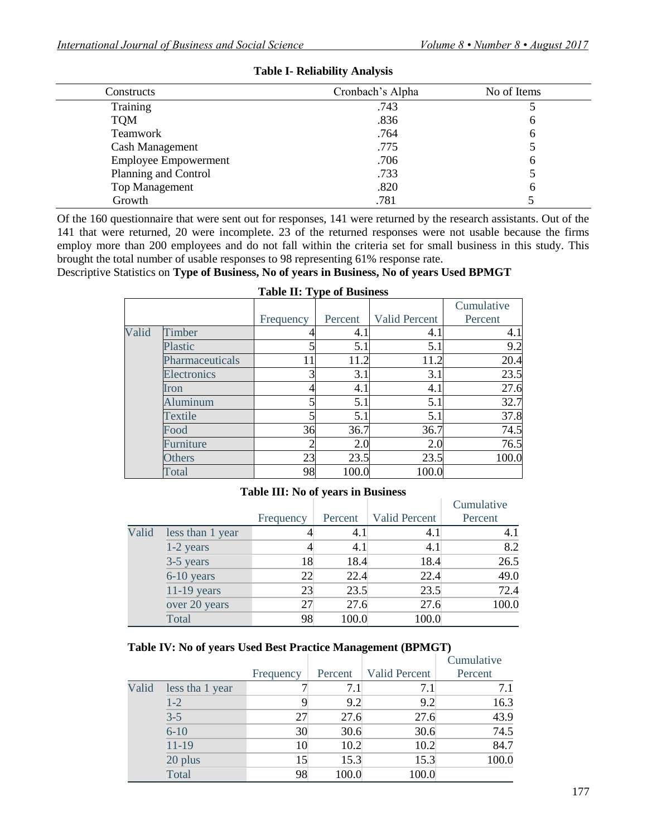| Constructs                  | Cronbach's Alpha | No of Items |
|-----------------------------|------------------|-------------|
| Training                    | .743             |             |
| <b>TQM</b>                  | .836             | O           |
| Teamwork                    | .764             | h           |
| <b>Cash Management</b>      | .775             |             |
| <b>Employee Empowerment</b> | .706             | n           |
| Planning and Control        | .733             |             |
| <b>Top Management</b>       | .820             | h           |
| Growth                      | .781             |             |

### **Table I- Reliability Analysis**

Of the 160 questionnaire that were sent out for responses, 141 were returned by the research assistants. Out of the 141 that were returned, 20 were incomplete. 23 of the returned responses were not usable because the firms employ more than 200 employees and do not fall within the criteria set for small business in this study. This brought the total number of usable responses to 98 representing 61% response rate.

Descriptive Statistics on **Type of Business, No of years in Business, No of years Used BPMGT**

|       | rable <b>H</b> , rype of <i>B</i> ushiess |           |         |                      |            |  |  |  |  |  |  |  |  |
|-------|-------------------------------------------|-----------|---------|----------------------|------------|--|--|--|--|--|--|--|--|
|       |                                           |           |         |                      | Cumulative |  |  |  |  |  |  |  |  |
|       |                                           | Frequency | Percent | <b>Valid Percent</b> | Percent    |  |  |  |  |  |  |  |  |
| Valid | Timber                                    |           | 4.1     | 4.1                  | 4.1        |  |  |  |  |  |  |  |  |
|       | Plastic                                   |           | 5.1     | 5.1                  | 9.2        |  |  |  |  |  |  |  |  |
|       | Pharmaceuticals                           | 11        | 11.2    | 11.2                 | 20.4       |  |  |  |  |  |  |  |  |
|       | Electronics                               |           | 3.1     | 3.1                  | 23.5       |  |  |  |  |  |  |  |  |
|       | Iron                                      |           | 4.1     | 4.1                  | 27.6       |  |  |  |  |  |  |  |  |
|       | <b>Aluminum</b>                           |           | 5.1     | 5.1                  | 32.7       |  |  |  |  |  |  |  |  |
|       | Textile                                   |           | 5.1     | 5.1                  | 37.8       |  |  |  |  |  |  |  |  |
|       | Food                                      | 36        | 36.7    | 36.7                 | 74.5       |  |  |  |  |  |  |  |  |
|       | Furniture                                 |           | 2.0     | 2.0                  | 76.5       |  |  |  |  |  |  |  |  |
|       | <b>Others</b>                             | 23        | 23.5    | 23.5                 | 100.0      |  |  |  |  |  |  |  |  |
|       | Total                                     | 98        | 100.0   | 100.0                |            |  |  |  |  |  |  |  |  |

# **Table II: Type of Business**

#### **Table III: No of years in Business**

|       |                  |           |         |                      | Cumulative |
|-------|------------------|-----------|---------|----------------------|------------|
|       |                  | Frequency | Percent | <b>Valid Percent</b> | Percent    |
| Valid | less than 1 year |           | 4.1     | 4.1                  | 4.1        |
|       | 1-2 years        |           | 4.1     | 4.1                  | 8.2        |
|       | 3-5 years        | 18        | 18.4    | 18.4                 | 26.5       |
|       | 6-10 years       | 22        | 22.4    | 22.4                 | 49.0       |
|       | $11-19$ years    | 23        | 23.5    | 23.5                 | 72.4       |
|       | over 20 years    | 27        | 27.6    | 27.6                 | 100.0      |
|       | Total            | 98        | 100.0   | 100.0                |            |

#### **Table IV: No of years Used Best Practice Management (BPMGT)**

|       |                 |           |         |                      | Cumulative |
|-------|-----------------|-----------|---------|----------------------|------------|
|       |                 | Frequency | Percent | <b>Valid Percent</b> | Percent    |
| Valid | less tha 1 year |           | 7.1     | 7.1                  | 7.1        |
|       | $1-2$           | 9         | 9.2     | 9.2                  | 16.3       |
|       | $3 - 5$         | 27        | 27.6    | 27.6                 | 43.9       |
|       | $6 - 10$        | 30        | 30.6    | 30.6                 | 74.5       |
|       | $11 - 19$       | 10        | 10.2    | 10.2                 | 84.7       |
|       | 20 plus         | 15        | 15.3    | 15.3                 | 100.0      |
|       | Total           | 98        | 100.0   | 100.0                |            |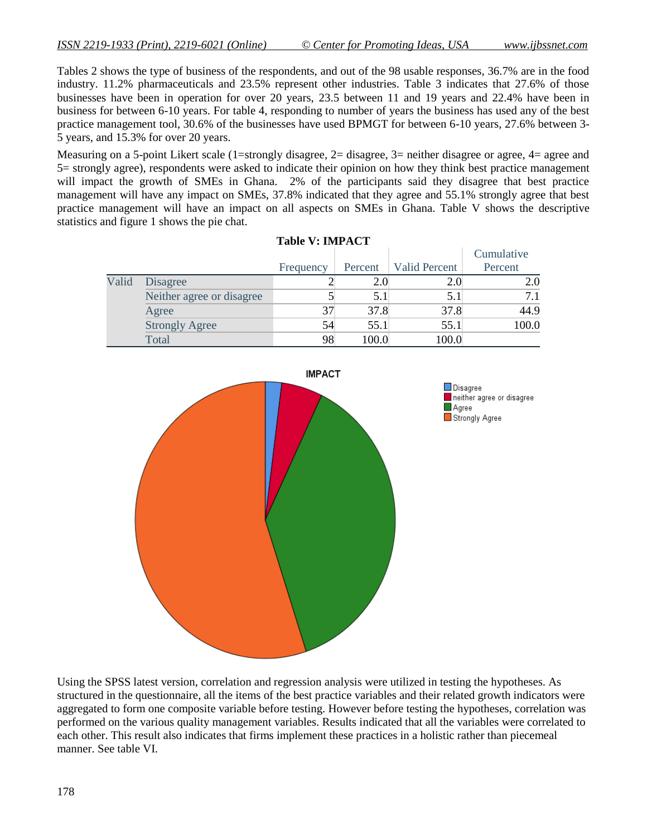Tables 2 shows the type of business of the respondents, and out of the 98 usable responses, 36.7% are in the food industry. 11.2% pharmaceuticals and 23.5% represent other industries. Table 3 indicates that 27.6% of those businesses have been in operation for over 20 years, 23.5 between 11 and 19 years and 22.4% have been in business for between 6-10 years. For table 4, responding to number of years the business has used any of the best practice management tool, 30.6% of the businesses have used BPMGT for between 6-10 years, 27.6% between 3- 5 years, and 15.3% for over 20 years.

Measuring on a 5-point Likert scale (1=strongly disagree, 2= disagree, 3= neither disagree or agree, 4= agree and 5= strongly agree), respondents were asked to indicate their opinion on how they think best practice management will impact the growth of SMEs in Ghana. 2% of the participants said they disagree that best practice management will have any impact on SMEs, 37.8% indicated that they agree and 55.1% strongly agree that best practice management will have an impact on all aspects on SMEs in Ghana. Table V shows the descriptive statistics and figure 1 shows the pie chat.

|       |                           | <b>Table V: IMPACT</b> |         |               |            |
|-------|---------------------------|------------------------|---------|---------------|------------|
|       |                           |                        |         |               | Cumulative |
|       |                           | Frequency              | Percent | Valid Percent | Percent    |
| Valid | Disagree                  |                        | 2.0     | 2.0           | 2.0        |
|       | Neither agree or disagree |                        | 5.1     | 5.1           |            |
|       | Agree                     | 37                     | 37.8    | 37.8          | 44.9       |
|       | <b>Strongly Agree</b>     | 54                     | 55.1    | 55.1          | 100.0      |
|       | Total                     | 98                     | 100.0   | 100.0         |            |



Using the SPSS latest version, correlation and regression analysis were utilized in testing the hypotheses. As structured in the questionnaire, all the items of the best practice variables and their related growth indicators were aggregated to form one composite variable before testing. However before testing the hypotheses, correlation was performed on the various quality management variables. Results indicated that all the variables were correlated to each other. This result also indicates that firms implement these practices in a holistic rather than piecemeal manner. See table VI.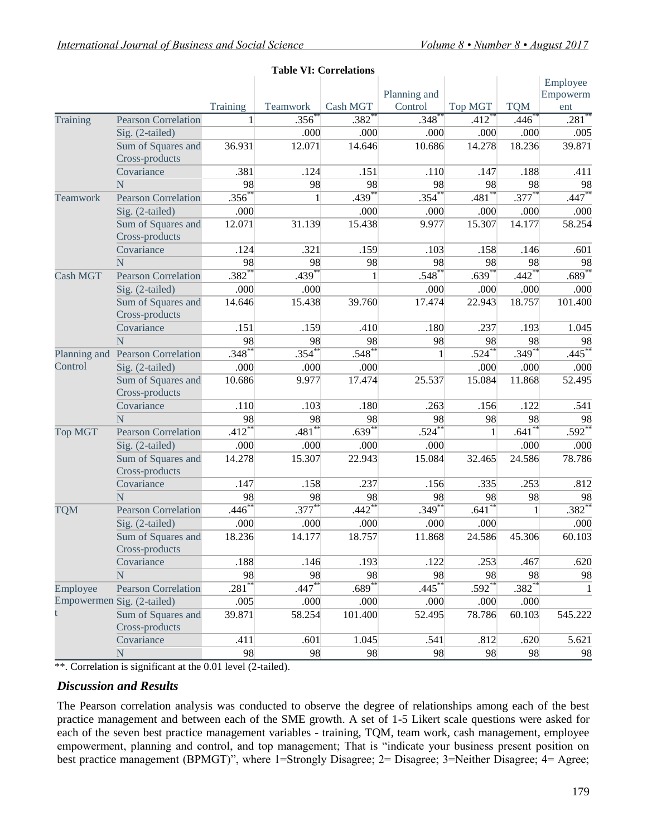|                         |                            |                     |              | Table VI: Correlations |                      |                      |                     |                      |
|-------------------------|----------------------------|---------------------|--------------|------------------------|----------------------|----------------------|---------------------|----------------------|
|                         |                            |                     |              |                        | Planning and         |                      |                     | Employee<br>Empowerm |
|                         |                            | Training            | Teamwork     | Cash MGT               | Control              | <b>Top MGT</b>       | <b>TQM</b>          | ent                  |
| Training                | <b>Pearson Correlation</b> | 1                   | .356         | $.382$ <sup>*</sup>    | .348                 | $.412$ <sup>*</sup>  | .446                | $.281$ <sup>*</sup>  |
|                         | Sig. (2-tailed)            |                     | .000         | .000                   | .000                 | .000                 | .000                | .005                 |
|                         | Sum of Squares and         | 36.931              | 12.071       | 14.646                 | 10.686               | 14.278               | 18.236              | 39.871               |
|                         | Cross-products             |                     |              |                        |                      |                      |                     |                      |
|                         | Covariance                 | .381                | .124         | .151                   | .110                 | .147                 | .188                | .411                 |
|                         | N                          | 98                  | 98           | 98                     | 98                   | 98                   | 98                  | 98                   |
| Teamwork                | <b>Pearson Correlation</b> | $.356^{**}$         | $\mathbf{1}$ | $.439***$              | $.354***$            | $.481***$            | $.377***$           | $.447**$             |
|                         | Sig. (2-tailed)            | .000                |              | .000                   | .000                 | .000                 | .000                | .000                 |
|                         | Sum of Squares and         | 12.071              | 31.139       | 15.438                 | 9.977                | 15.307               | 14.177              | 58.254               |
|                         | Cross-products             |                     |              |                        |                      |                      |                     |                      |
|                         | Covariance                 | .124                | .321         | .159                   | .103                 | .158                 | .146                | .601                 |
|                         | N                          | 98                  | 98           | 98                     | 98                   | 98                   | 98                  | 98                   |
| <b>Cash MGT</b>         | <b>Pearson Correlation</b> | $.382*$             | $.439***$    | $\mathbf{1}$           | $.548^{**}$          | $.639***$            | $.442**$            | $.689*$              |
|                         | Sig. (2-tailed)            | .000                | .000         |                        | .000                 | .000                 | .000                | .000                 |
|                         | Sum of Squares and         | 14.646              | 15.438       | 39.760                 | 17.474               | 22.943               | 18.757              | 101.400              |
|                         | Cross-products             |                     |              |                        |                      |                      |                     |                      |
|                         | Covariance                 | .151                | .159         | .410                   | .180                 | .237                 | .193                | 1.045                |
|                         | N                          | 98                  | 98           | 98                     | 98                   | 98                   | 98                  | 98                   |
|                         | <b>Pearson Correlation</b> | $.348*$             | $.354^{*}$   | $.548*$                | $\mathbf{1}$         | $.524***$            | $.349**$            | .445                 |
| Planning and<br>Control | Sig. (2-tailed)            | .000                | .000         | .000                   |                      | .000                 | .000                | .000                 |
|                         | Sum of Squares and         | 10.686              | 9.977        | 17.474                 | 25.537               | 15.084               | 11.868              | 52.495               |
|                         | Cross-products             |                     |              |                        |                      |                      |                     |                      |
|                         | Covariance                 | .110                | .103         | .180                   | .263                 | .156                 | .122                | .541                 |
|                         | N                          | 98                  | 98           | 98                     | 98                   | 98                   | 98                  | 98                   |
|                         | <b>Pearson Correlation</b> | $.412**$            | $.481*$      | $.639***$              | $.524***$            | $\mathbf{1}$         | $.641**$            | $.592**$             |
|                         | Sig. (2-tailed)            | .000                | .000         | .000                   | .000                 |                      | .000                | .000                 |
|                         | Sum of Squares and         | 14.278              | 15.307       | 22.943                 | 15.084               | 32.465               | 24.586              | 78.786               |
|                         | Cross-products             |                     |              |                        |                      |                      |                     |                      |
|                         | Covariance                 | .147                | .158         | .237                   | .156                 | .335                 | .253                | .812                 |
|                         | N                          | 98                  | 98           | 98                     | 98                   | 98                   | 98                  | 98                   |
| <b>TQM</b>              | <b>Pearson Correlation</b> | $.446^{*}$          | $.377***$    | $.442^{*}$             | $.349***$            | $.641**$             | $\mathbf{1}$        | $.382^{*}$           |
| <b>Top MGT</b>          | Sig. (2-tailed)            | .000                | .000         | .000                   | .000                 | .000                 |                     | .000                 |
|                         | Sum of Squares and         | 18.236              | 14.177       | 18.757                 | 11.868               | 24.586               | 45.306              | 60.103               |
|                         | Cross-products             |                     |              |                        |                      |                      |                     |                      |
|                         | Covariance                 | .188                | .146         | .193                   | .122                 | .253                 | .467                | .620                 |
|                         | N                          | 98                  | 98           | 98                     | 98                   | 98                   | 98                  | 98                   |
| Employee                | <b>Pearson Correlation</b> | $.281$ <sup>2</sup> | $.447**$     | $.689$ <sup>**</sup>   | $.445$ <sup>**</sup> | $.592$ <sup>**</sup> | $.382$ <sup>*</sup> | $\mathbf{1}$         |
|                         | Empowermen Sig. (2-tailed) | .005                | .000         | .000                   | .000                 | .000                 | .000                |                      |
| t                       | Sum of Squares and         | 39.871              | 58.254       | 101.400                | 52.495               | 78.786               | 60.103              | 545.222              |
|                         | Cross-products             |                     |              |                        |                      |                      |                     |                      |
|                         | Covariance                 | .411                | .601         | 1.045                  | .541                 | .812                 | .620                | 5.621                |
|                         | N                          | 98                  | 98           | 98                     | 98                   | 98                   | 98                  | 98                   |

#### **Table VI: Correlations**

\*\*. Correlation is significant at the 0.01 level (2-tailed).

# *Discussion and Results*

The Pearson correlation analysis was conducted to observe the degree of relationships among each of the best practice management and between each of the SME growth. A set of 1-5 Likert scale questions were asked for each of the seven best practice management variables - training, TQM, team work, cash management, employee empowerment, planning and control, and top management; That is "indicate your business present position on best practice management (BPMGT)", where 1=Strongly Disagree; 2= Disagree; 3=Neither Disagree; 4= Agree;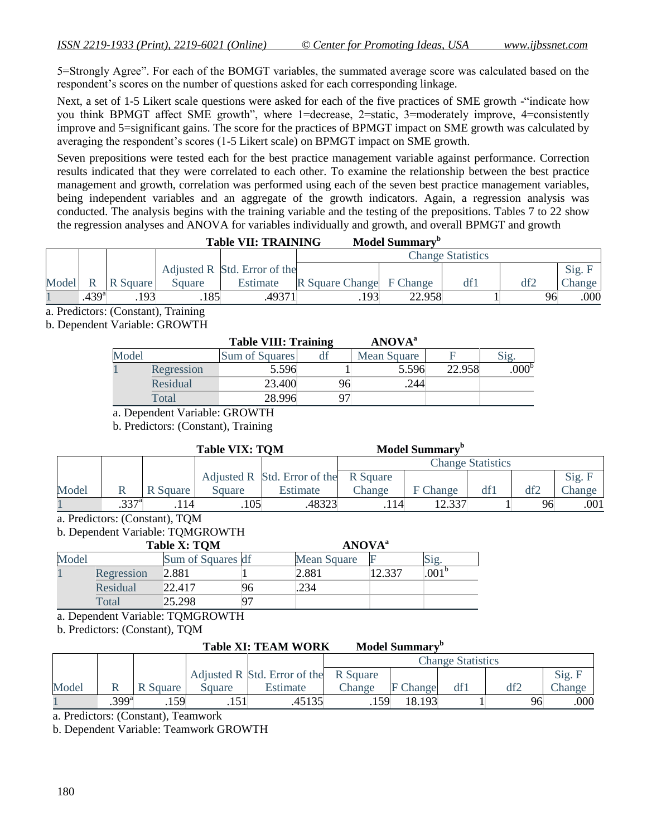5=Strongly Agree". For each of the BOMGT variables, the summated average score was calculated based on the respondent"s scores on the number of questions asked for each corresponding linkage.

Next, a set of 1-5 Likert scale questions were asked for each of the five practices of SME growth -"indicate how you think BPMGT affect SME growth", where 1=decrease, 2=static, 3=moderately improve, 4=consistently improve and 5=significant gains. The score for the practices of BPMGT impact on SME growth was calculated by averaging the respondent"s scores (1-5 Likert scale) on BPMGT impact on SME growth.

Seven prepositions were tested each for the best practice management variable against performance. Correction results indicated that they were correlated to each other. To examine the relationship between the best practice management and growth, correlation was performed using each of the seven best practice management variables, being independent variables and an aggregate of the growth indicators. Again, a regression analysis was conducted. The analysis begins with the training variable and the testing of the prepositions. Tables 7 to 22 show the regression analyses and ANOVA for variables individually and growth, and overall BPMGT and growth

| <b>Table VII: TRAINING</b> | <b>Model Summary</b> <sup>b</sup> |
|----------------------------|-----------------------------------|
|----------------------------|-----------------------------------|

|       |             |          |        |                              | <b>Change Statistics</b> |        |  |    |        |  |
|-------|-------------|----------|--------|------------------------------|--------------------------|--------|--|----|--------|--|
|       |             |          |        | Adjusted R Std. Error of the |                          |        |  |    | Sig. F |  |
| Model | $\mathbf R$ | R Square | Square | Estimate                     | R Square Change F Change |        |  |    | Change |  |
|       | $.439^{a}$  | 193      | 185    | 49371                        | .193                     | 22.958 |  | 96 | .000   |  |

a. Predictors: (Constant), Training

b. Dependent Variable: GROWTH

|       |            | <b>Table VIII: Training</b> |    | <b>ANOVA</b> <sup>a</sup> |        |                  |
|-------|------------|-----------------------------|----|---------------------------|--------|------------------|
| Model |            | Sum of Squares              |    | Mean Square               |        | $\mathbf{51g}$   |
|       | Regression | 5.596                       |    | 5.596                     | 22.958 | 000 <sup>b</sup> |
|       | Residual   | 23.400                      | 96 | 244                       |        |                  |
|       | Total      | 28.996                      |    |                           |        |                  |

a. Dependent Variable: GROWTH

b. Predictors: (Constant), Training

|       |                   |          | <b>Table VIX: TOM</b> |                                       |                          | <b>Model Summary</b> <sup>b</sup> |      |     |        |
|-------|-------------------|----------|-----------------------|---------------------------------------|--------------------------|-----------------------------------|------|-----|--------|
|       |                   |          |                       |                                       | <b>Change Statistics</b> |                                   |      |     |        |
|       |                   |          |                       | Adjusted R Std. Error of the R Square |                          |                                   |      |     | Sig. F |
| Model |                   | R Square | Square                | Estimate                              | Change                   | F Change                          | dt l | df2 | Change |
|       | .337 <sup>a</sup> | 14       | .105 <sup>1</sup>     | .48323                                | 114                      | 12 337                            |      | 96  | .001   |

a. Predictors: (Constant), TQM

b. Dependent Variable: TQMGROWTH

|       |            | <b>Table X: TOM</b> |    |             | <b>ANOVA</b> <sup>a</sup> |              |  |  |
|-------|------------|---------------------|----|-------------|---------------------------|--------------|--|--|
| Model |            | Sum of Squares df   |    | Mean Square |                           | Sig.         |  |  |
|       | Regression | 2.881               |    | 2.881       | 12.337                    | $.001^\circ$ |  |  |
|       | Residual   | 22.417              | 96 | .234        |                           |              |  |  |
|       | Total      | 25.298              | 97 |             |                           |              |  |  |

a. Dependent Variable: TQMGROWTH

b. Predictors: (Constant), TQM

### Table XI: TEAM WORK Model Summary<sup>b</sup>

|       |                   |          |        |                                       | <b>Change Statistics</b> |                 |  |     |        |  |
|-------|-------------------|----------|--------|---------------------------------------|--------------------------|-----------------|--|-----|--------|--|
|       |                   |          |        | Adjusted R Std. Error of the R Square |                          |                 |  |     | Sig. F |  |
| Model |                   | R Square | Square | Estimate                              | Change                   | <b>F</b> Change |  | df2 | Change |  |
|       | $.399^{\text{a}}$ | 59       |        | 45135                                 | .159                     | 18.193          |  | 96  | .000   |  |

a. Predictors: (Constant), Teamwork

b. Dependent Variable: Teamwork GROWTH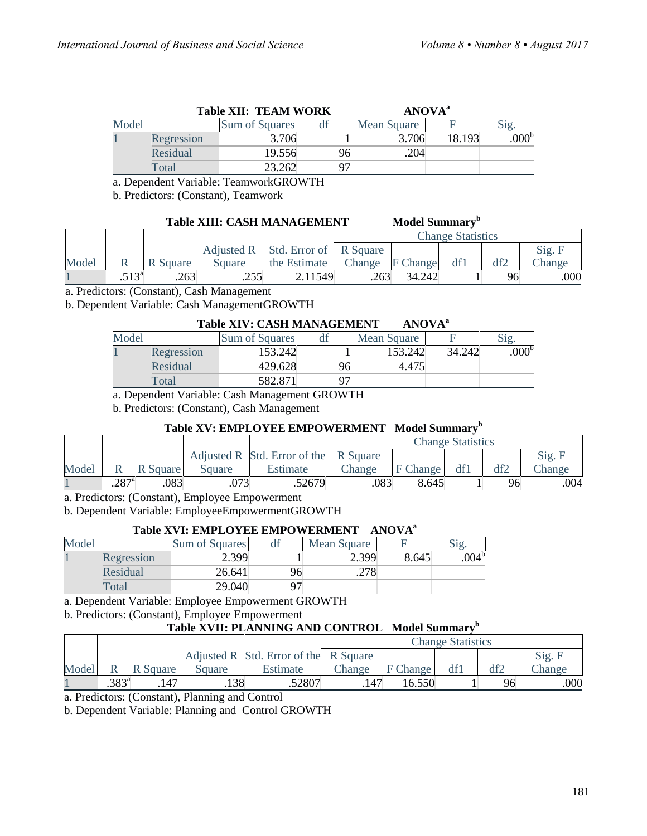|       |            | <b>Table XII: TEAM WORK</b> |    | <b>ANOVA</b> <sup>a</sup> |        |                  |
|-------|------------|-----------------------------|----|---------------------------|--------|------------------|
| Model |            | Sum of Squares              |    | Mean Square               |        | $\mathrm{Sig.}$  |
|       | Regression | 3.706                       |    | 3.706                     | 18.193 | 000 <sup>b</sup> |
|       | Residual   | 19.556                      | 96 | .204                      |        |                  |
|       | Total      | 23.262                      |    |                           |        |                  |

a. Dependent Variable: TeamworkGROWTH

b. Predictors: (Constant), Teamwork

# Table XIII: CASH MANAGEMENT Model Summary<sup>b</sup>

|       |               |          |        |                                             | <b>Change Statistics</b> |        |     |     |        |
|-------|---------------|----------|--------|---------------------------------------------|--------------------------|--------|-----|-----|--------|
|       |               |          |        | Adjusted $R$ Std. Error of $\vert$ R Square |                          |        |     |     | Sig. F |
| Model |               | R Square | Square | the Estimate                                | Change F Change          |        | df1 | df2 | Change |
|       | $513^{\rm a}$ | .263     | .255   | 2.11549                                     | .263                     | 34.242 |     | 96  | .000   |

a. Predictors: (Constant), Cash Management

b. Dependent Variable: Cash ManagementGROWTH

### **Table XIV: CASH MANAGEMENT ANOVA<sup>a</sup>**

| Model |            | Sum of Squares | df | Mean Square |        |                |
|-------|------------|----------------|----|-------------|--------|----------------|
|       | Regression | 53.242         |    | 153.242     | 34.242 | $.000^{\circ}$ |
|       | Residual   | 429.628        | 96 | 4.475       |        |                |
|       | Total      | 582.87         |    |             |        |                |

a. Dependent Variable: Cash Management GROWTH

b. Predictors: (Constant), Cash Management

#### **Table XV: EMPLOYEE EMPOWERMENT Model Summary<sup>b</sup>**

|       |                     |          |        |                                       | <b>Change Statistics</b> |          |     |     |        |
|-------|---------------------|----------|--------|---------------------------------------|--------------------------|----------|-----|-----|--------|
|       |                     |          |        | Adjusted R Std. Error of the R Square |                          |          |     |     | Sig. F |
| Model |                     | R Square | Square | Estimate                              | Change                   | F Change | df1 | df2 | hange  |
|       | $.287$ <sup>a</sup> | .083     | .073   | .52679                                | .083                     | 8.645    |     | 96  | .004   |

a. Predictors: (Constant), Employee Empowerment

b. Dependent Variable: EmployeeEmpowermentGROWTH

### **Table XVI: EMPLOYEE EMPOWERMENT ANOVA<sup>a</sup>**

| Model |            | <b>Sum of Squares</b> | dI | Mean Square |       | $\sigma$ $\sigma$ |
|-------|------------|-----------------------|----|-------------|-------|-------------------|
|       | Regression | 2.399                 |    | 2.399       | 8.645 | $.004^{\circ}$    |
|       | Residual   | 26.641                | 96 | .278        |       |                   |
|       | Total      | 29.040                |    |             |       |                   |

a. Dependent Variable: Employee Empowerment GROWTH

b. Predictors: (Constant), Employee Empowerment

# **Table XVII: PLANNING AND CONTROL Model Summary<sup>b</sup>**

|       |                |          |        |                                       | <b>Change Statistics</b> |          |     |     |        |  |
|-------|----------------|----------|--------|---------------------------------------|--------------------------|----------|-----|-----|--------|--|
|       |                |          |        | Adjusted R Std. Error of the R Square |                          |          |     |     | Sig. F |  |
| Model |                | R Square | Square | Estimate                              | Change                   | F Change | df1 | df2 | Change |  |
|       | $.383^{\circ}$ | 147      | .138   | .52807                                | 147                      | 16.550   |     | 96  | .000   |  |

a. Predictors: (Constant), Planning and Control

b. Dependent Variable: Planning and Control GROWTH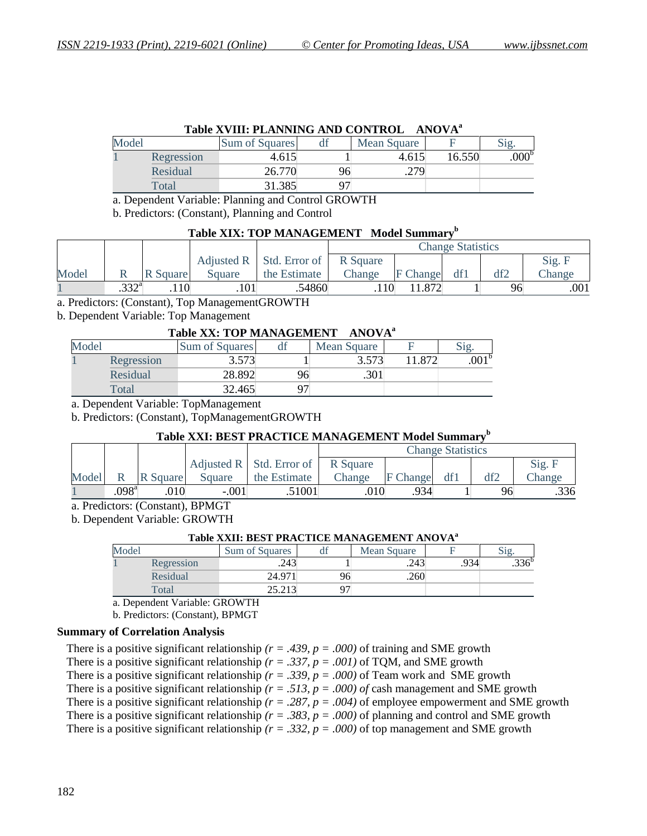|       | Table XVIII: PLANNING AND CONTROL ANOVA <sup>a</sup> |                |    |             |        |                  |  |  |  |  |  |  |
|-------|------------------------------------------------------|----------------|----|-------------|--------|------------------|--|--|--|--|--|--|
| Model |                                                      | Sum of Squares | df | Mean Square |        | Sig.             |  |  |  |  |  |  |
|       | Regression                                           | 4.615          |    | 4.615       | 16.550 | 000 <sup>b</sup> |  |  |  |  |  |  |
|       | Residual                                             | 26.770         | 96 | .279        |        |                  |  |  |  |  |  |  |
|       | Total                                                | 31.385         |    |             |        |                  |  |  |  |  |  |  |

a. Dependent Variable: Planning and Control GROWTH

b. Predictors: (Constant), Planning and Control

#### **Table XIX: TOP MANAGEMENT Model Summary<sup>b</sup>**

|       |         |          |        |                            | <b>Change Statistics</b> |                 |     |     |               |
|-------|---------|----------|--------|----------------------------|--------------------------|-----------------|-----|-----|---------------|
|       |         |          |        | Adjusted $R$ Std. Error of | R Square                 |                 |     |     | Sig. F        |
| Model |         | R Square | Square | the Estimate               | Change                   | <b>F</b> Change | df1 | df2 | <b>Change</b> |
|       | $222^a$ | .110     | .101'  | .54860                     | 110                      |                 |     | 96  | .001          |

a. Predictors: (Constant), Top ManagementGROWTH

b. Dependent Variable: Top Management

#### **Table XX: TOP MANAGEMENT ANOVA<sup>a</sup>**

| Model      | Sum of Squares | df | Mean Square |     |      |
|------------|----------------|----|-------------|-----|------|
| Regression | 3.573          |    | 3.573       | 872 | .001 |
| Residual   | 28.892         | 96 | .301        |     |      |
| Total      | 32.465         |    |             |     |      |

a. Dependent Variable: TopManagement

b. Predictors: (Constant), TopManagementGROWTH

#### **Table XXI: BEST PRACTICE MANAGEMENT Model Summary<sup>b</sup>**

|       |                |          |         |                                 | <b>Change Statistics</b> |                 |     |     |        |
|-------|----------------|----------|---------|---------------------------------|--------------------------|-----------------|-----|-----|--------|
|       |                |          |         | Adjusted $R \mid$ Std. Error of | R Square                 |                 |     |     | Sig. F |
| Model |                | R Square | Square  | the Estimate                    | Change                   | <b>F</b> Change | df1 | df2 | Change |
|       | $.098^{\rm a}$ | .010     | $-.001$ | .51001                          | .010                     | 934             |     | 96  | .336   |

a. Predictors: (Constant), BPMGT

b. Dependent Variable: GROWTH

#### **Table XXII: BEST PRACTICE MANAGEMENT ANOVA<sup>a</sup>**

| Model |            | Sum of Squares   | uı | Mean Square |      |      |
|-------|------------|------------------|----|-------------|------|------|
|       | Regression | 212<br>د+∠.      |    | .243        | .934 | .336 |
|       | Residual   | 24.97            | 96 | .260        |      |      |
|       | Total      | つよ つ1つ<br>23.21J |    |             |      |      |

a. Dependent Variable: GROWTH

b. Predictors: (Constant), BPMGT

#### **Summary of Correlation Analysis**

There is a positive significant relationship  $(r = .439, p = .000)$  of training and SME growth

There is a positive significant relationship  $(r = .337, p = .001)$  of TQM, and SME growth

There is a positive significant relationship  $(r = .339, p = .000)$  of Team work and SME growth

There is a positive significant relationship  $(r = .513, p = .000)$  of cash management and SME growth

There is a positive significant relationship  $(r = .287, p = .004)$  of employee empowerment and SME growth

There is a positive significant relationship  $(r = .383, p = .000)$  of planning and control and SME growth

There is a positive significant relationship  $(r = .332, p = .000)$  of top management and SME growth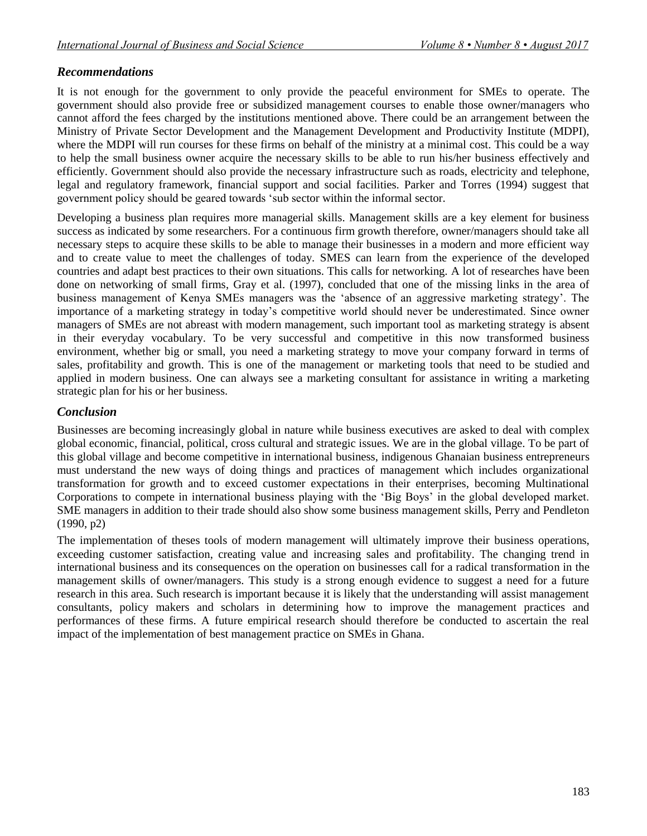# *Recommendations*

It is not enough for the government to only provide the peaceful environment for SMEs to operate. The government should also provide free or subsidized management courses to enable those owner/managers who cannot afford the fees charged by the institutions mentioned above. There could be an arrangement between the Ministry of Private Sector Development and the Management Development and Productivity Institute (MDPI), where the MDPI will run courses for these firms on behalf of the ministry at a minimal cost. This could be a way to help the small business owner acquire the necessary skills to be able to run his/her business effectively and efficiently. Government should also provide the necessary infrastructure such as roads, electricity and telephone, legal and regulatory framework, financial support and social facilities. Parker and Torres (1994) suggest that government policy should be geared towards "sub sector within the informal sector.

Developing a business plan requires more managerial skills. Management skills are a key element for business success as indicated by some researchers. For a continuous firm growth therefore, owner/managers should take all necessary steps to acquire these skills to be able to manage their businesses in a modern and more efficient way and to create value to meet the challenges of today. SMES can learn from the experience of the developed countries and adapt best practices to their own situations. This calls for networking. A lot of researches have been done on networking of small firms, Gray et al. (1997), concluded that one of the missing links in the area of business management of Kenya SMEs managers was the "absence of an aggressive marketing strategy". The importance of a marketing strategy in today"s competitive world should never be underestimated. Since owner managers of SMEs are not abreast with modern management, such important tool as marketing strategy is absent in their everyday vocabulary. To be very successful and competitive in this now transformed business environment, whether big or small, you need a marketing strategy to move your company forward in terms of sales, profitability and growth. This is one of the management or marketing tools that need to be studied and applied in modern business. One can always see a marketing consultant for assistance in writing a marketing strategic plan for his or her business.

# *Conclusion*

Businesses are becoming increasingly global in nature while business executives are asked to deal with complex global economic, financial, political, cross cultural and strategic issues. We are in the global village. To be part of this global village and become competitive in international business, indigenous Ghanaian business entrepreneurs must understand the new ways of doing things and practices of management which includes organizational transformation for growth and to exceed customer expectations in their enterprises, becoming Multinational Corporations to compete in international business playing with the "Big Boys" in the global developed market. SME managers in addition to their trade should also show some business management skills, Perry and Pendleton (1990, p2)

The implementation of theses tools of modern management will ultimately improve their business operations, exceeding customer satisfaction, creating value and increasing sales and profitability. The changing trend in international business and its consequences on the operation on businesses call for a radical transformation in the management skills of owner/managers. This study is a strong enough evidence to suggest a need for a future research in this area. Such research is important because it is likely that the understanding will assist management consultants, policy makers and scholars in determining how to improve the management practices and performances of these firms. A future empirical research should therefore be conducted to ascertain the real impact of the implementation of best management practice on SMEs in Ghana.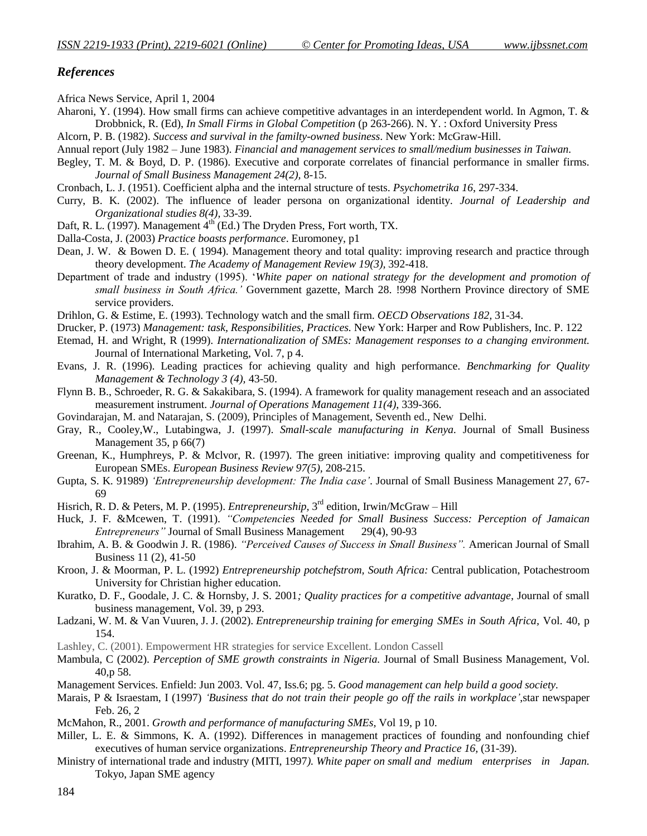#### *References*

Africa News Service, April 1, 2004

- Aharoni, Y. (1994). How small firms can achieve competitive advantages in an interdependent world. In Agmon, T. & Drobbnick, R. (Ed), *In Small Firms in Global Competition* (p 263-266). N. Y. : Oxford University Press
- Alcorn, P. B. (1982). *Success and survival in the familty-owned business*. New York: McGraw-Hill.
- Annual report (July 1982 June 1983). *Financial and management services to small/medium businesses in Taiwan.*
- Begley, T. M. & Boyd, D. P. (1986). Executive and corporate correlates of financial performance in smaller firms. *Journal of Small Business Management 24(2),* 8-15.
- Cronbach, L. J. (1951). Coefficient alpha and the internal structure of tests. *Psychometrika 16*, 297-334.
- Curry, B. K. (2002). The influence of leader persona on organizational identity. *Journal of Leadership and Organizational studies 8(4),* 33-39.
- Daft, R. L. (1997). Management  $4<sup>th</sup>$  (Ed.) The Dryden Press, Fort worth, TX.
- Dalla-Costa, J. (2003) *Practice boasts performance*. Euromoney, p1
- Dean, J. W. & Bowen D. E. ( 1994). Management theory and total quality: improving research and practice through theory development. *The Academy of Management Review 19(3),* 392-418.
- Department of trade and industry (1995). "*White paper on national strategy for the development and promotion of small business in South Africa."* Government gazette, March 28. !998 Northern Province directory of SME service providers.
- Drihlon, G. & Estime, E. (1993). Technology watch and the small firm. *OECD Observations 182,* 31-34.
- Drucker, P. (1973) *Management: task, Responsibilities, Practices.* New York: Harper and Row Publishers, Inc. P. 122
- Etemad, H. and Wright, R (1999). *Internationalization of SMEs: Management responses to a changing environment.* Journal of International Marketing, Vol. 7, p 4.
- Evans, J. R. (1996). Leading practices for achieving quality and high performance. *Benchmarking for Quality Management & Technology 3 (4),* 43-50.
- Flynn B. B., Schroeder, R. G. & Sakakibara, S. (1994). A framework for quality management reseach and an associated measurement instrument. *Journal of Operations Management 11(4)*, 339-366.
- Govindarajan, M. and Natarajan, S. (2009), Principles of Management, Seventh ed., New Delhi.
- Gray, R., Cooley,W., Lutabingwa, J. (1997). *Small-scale manufacturing in Kenya.* Journal of Small Business Management 35, p 66(7)
- Greenan, K., Humphreys, P. & Mclvor, R. (1997). The green initiative: improving quality and competitiveness for European SMEs. *European Business Review 97(5),* 208-215.
- Gupta, S. K. 91989) *"Entrepreneurship development: The India case"*. Journal of Small Business Management 27, 67- 69
- Hisrich, R. D. & Peters, M. P. (1995). *Entrepreneurship*, 3<sup>rd</sup> edition, Irwin/McGraw Hill
- Huck, J. F. &Mcewen, T. (1991). *"Competencies Needed for Small Business Success: Perception of Jamaican Entrepreneurs*" Journal of Small Business Management
- Ibrahim, A. B. & Goodwin J. R. (1986). *"Perceived Causes of Success in Small Business".* American Journal of Small Business 11 (2), 41-50
- Kroon, J. & Moorman, P. L. (1992) *Entrepreneurship potchefstrom, South Africa:* Central publication, Potachestroom University for Christian higher education.
- Kuratko, D. F., Goodale, J. C. & Hornsby, J. S. 2001*; Quality practices for a competitive advantage,* Journal of small business management, Vol. 39, p 293.
- Ladzani, W. M. & Van Vuuren, J. J. (2002). *Entrepreneurship training for emerging SMEs in South Africa,* Vol. 40, p 154.
- Lashley, C. (2001). Empowerment HR strategies for service Excellent. London Cassell
- Mambula, C (2002). *Perception of SME growth constraints in Nigeria.* Journal of Small Business Management, Vol. 40,p 58.
- Management Services. Enfield: Jun 2003. Vol. 47, Iss.6; pg. 5. *Good management can help build a good society.*
- Marais, P & Israestam, I (1997) *"Business that do not train their people go off the rails in workplace"*,star newspaper Feb. 26, 2
- McMahon, R., 2001. *Growth and performance of manufacturing SMEs,* Vol 19, p 10.
- Miller, L. E. & Simmons, K. A. (1992). Differences in management practices of founding and nonfounding chief executives of human service organizations. *Entrepreneurship Theory and Practice 16,* (31-39).
- Ministry of international trade and industry (MITI, 1997*). White paper on small and medium enterprises in Japan.*  Tokyo, Japan SME agency